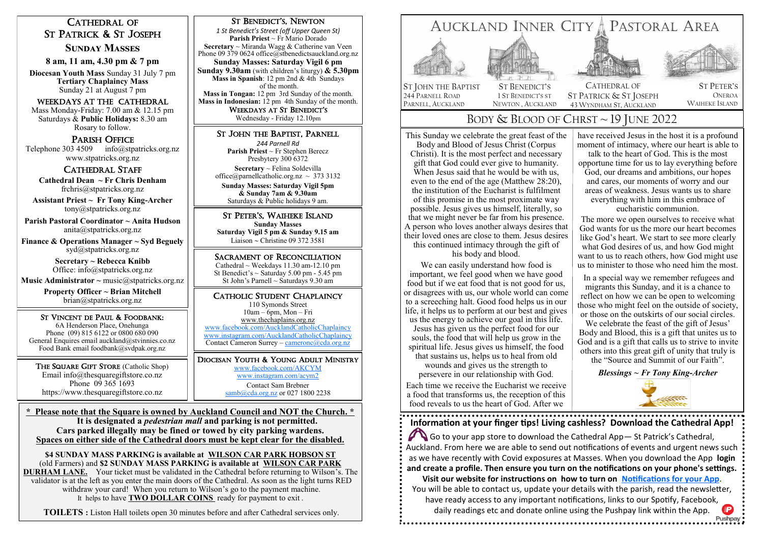# CATHEDRAL OF ST PATRICK & ST JOSEPH

# **Sunday Masses**

**8 am, 11 am, 4.30 pm & 7 pm**

**Diocesan Youth Mass** Sunday 31 July 7 pm **Tertiary Chaplaincy Mass**  Sunday 21 at August 7 pm

## Weekdays at The Cathedral

Mass Monday-Friday: 7.00 am & 12.15 pm Saturdays & **Public Holidays:** 8.30 am Rosary to follow.

# PARISH OFFICE

Telephone 303 4509 info@stpatricks.org.nz www.stpatricks.org.nz

# CATHEDRAL STAFF

 **Cathedral Dean ~ Fr Chris Denham**  frchris@stpatricks.org.nz

**Assistant Priest ~ Fr Tony King-Archer** tony@stpatricks.org.nz

**Parish Pastoral Coordinator ~ Anita Hudson** anita@stpatricks.org.nz

**Finance & Operations Manager ~ Syd Beguely**  syd@stpatricks.org.nz

> **Secretary ~ Rebecca Knibb**  Office: info@stpatricks.org.nz

**Music Administrator ~ music@stpatricks.org.nz** 

**Property Officer ~ Brian Mitchell**  brian@stpatricks.org.nz

ST VINCENT DE PAUL & FOODBANK: 6A Henderson Place, Onehunga Phone (09) 815 6122 or 0800 680 090 General Enquires email auckland@stvinnies.co.nz Food Bank email foodbank@svdpak.org.nz

THE SQUARE GIFT STORE (Catholic Shop) Email info@thesquaregiftstore.co.nz Phone 09 365 1693 https://www.thesquaregiftstore.co.nz

# ST BENEDICT'S, NEWTON

*1 St Benedict's Street (off Upper Queen St)* **Parish Priest** ~ Fr Mario Dorado **Secretary** ~ Miranda Wagg & Catherine van Veen Phone 09 379 0624 office@stbenedictsauckland.org.nz **Sunday Masses: Saturday Vigil 6 pm Sunday 9.30am** (with children's liturgy) **& 5.30pm Mass in Spanish**: 12 pm 2nd & 4th Sundays of the month.

**Mass in Tongan:** 12 pm 3rd Sunday of the month. **Mass in Indonesian:** 12 pm 4th Sunday of the month. WEEKDAYS AT ST BENEDICT'S

Wednesday - Friday 12.10pm

# ST JOHN THE BAPTIST, PARNELL

*244 Parnell Rd* **Parish Priest** ~ Fr Stephen Berecz Presbytery 300 6372 **Secretary** ~ Felina Soldevilla office@parnellcatholic.org.nz  $\sim$  373 3132 **Sunday Masses: Saturday Vigil 5pm & Sunday 7am & 9.30am** Saturdays & Public holidays 9 am.

ST PETER'S, WAIHEKE ISLAND **Sunday Masses Saturday Vigil 5 pm & Sunday 9.15 am** Liaison  $\sim$  Christine 09 372 3581

## SACRAMENT OF RECONCILIATION

Cathedral  $\sim$  Weekdays 11.30 am-12.10 pm St Benedict's  $\sim$  Saturday 5.00 pm - 5.45 pm St John's Parnell  $\sim$  Saturdays 9.30 am

# CATHOLIC STUDENT CHAPLAINCY

110 Symonds Street 10am – 6pm, Mon – Fri [www.thechaplains.org.nz](http://www.actc.net.nz/)  [www.facebook.com/AucklandCatholicChaplaincy](http://www.facebook.com/AucklandCatholicChaplaincy) [www.instagram.com/AucklandCatholicChaplaincy](http://www.instagram.com/AucklandCatholicChaplaincy) Contact Cameron Surrey – [cameronc@cda.org.nz](mailto:cameronc@cda.org.nz)

DIOCESAN YOUTH & YOUNG ADULT MINISTRY [www.facebook.com/AKCYM](http://www.facebook.com/AKCYM) [www.instagram.com/acym2](http://www.instagram.com/acym2) Contact Sam Brebner [samb@cda.org.nz](mailto:samb@cda.org.nz) or 027 1800 2238

**\* Please note that the Square is owned by Auckland Council and NOT the Church. \* It is designated a** *pedestrian mall* **and parking is not permitted. Cars parked illegally may be fined or towed by city parking wardens. Spaces on either side of the Cathedral doors must be kept clear for the disabled.**

**\$4 SUNDAY MASS PARKING is available at WILSON CAR PARK HOBSON ST**  (old Farmers) and **\$2 SUNDAY MASS PARKING is available at WILSON CAR PARK DURHAM LANE.** Your ticket must be validated in the Cathedral before returning to Wilson's. The validator is at the left as you enter the main doors of the Cathedral. As soon as the light turns RED withdraw your card! When you return to Wilson's go to the payment machine. It helps to have **TWO DOLLAR COINS** ready for payment to exit .

**TOILETS :** Liston Hall toilets open 30 minutes before and after Cathedral services only.



# BODY & BLOOD OF CHRST ~ 19 JUNE 2022

This Sunday we celebrate the great feast of the Body and Blood of Jesus Christ (Corpus Christi). It is the most perfect and necessary gift that God could ever give to humanity. When Jesus said that he would be with us, even to the end of the age (Matthew 28:20), the institution of the Eucharist is fulfilment of this promise in the most proximate way possible. Jesus gives us himself, literally, so that we might never be far from his presence. A person who loves another always desires that their loved ones are close to them. Jesus desires this continued intimacy through the gift of

his body and blood.

We can easily understand how food is important, we feel good when we have good food but if we eat food that is not good for us, or disagrees with us, our whole world can come to a screeching halt. Good food helps us in our life, it helps us to perform at our best and gives us the energy to achieve our goal in this life. Jesus has given us the perfect food for our souls, the food that will help us grow in the spiritual life. Jesus gives us himself, the food that sustains us, helps us to heal from old

wounds and gives us the strength to persevere in our relationship with God. Each time we receive the Eucharist we receive a food that transforms us, the reception of this food reveals to us the heart of God. After we

have received Jesus in the host it is a profound moment of intimacy, where our heart is able to

talk to the heart of God. This is the most opportune time for us to lay everything before God, our dreams and ambitions, our hopes and cares, our moments of worry and our areas of weakness. Jesus wants us to share everything with him in this embrace of eucharistic communion.

The more we open ourselves to receive what God wants for us the more our heart becomes like God's heart. We start to see more clearly what God desires of us, and how God might want to us to reach others, how God might use us to minister to those who need him the most.

In a special way we remember refugees and migrants this Sunday, and it is a chance to reflect on how we can be open to welcoming those who might feel on the outside of society, or those on the outskirts of our social circles.

We celebrate the feast of the gift of Jesus' Body and Blood, this is a gift that unites us to God and is a gift that calls us to strive to invite others into this great gift of unity that truly is the "Source and Summit of our Faith".

*Blessings ~ Fr Tony King-Archer*

Pushpay

**Information at your finger tips! Living cashless? Download the Cathedral App!** Go to your app store to download the Cathedral App - St Patrick's Cathedral, Auckland. From here we are able to send out notifications of events and urgent news such as we have recently with Covid exposures at Masses. When you download the App **login and create a profile. Then ensure you turn on the notifications on your phone's settings. Visit our website for instructions on how to turn on [Notifications for your App](https://www.stpatricks.org.nz/wp-content/uploads/2022/06/Notifications-for-your-App.pdf)**. You will be able to contact us, update your details with the parish, read the newsletter,

have ready access to any important notifications, links to our Spotify, Facebook, daily readings etc and donate online using the Pushpay link within the App.